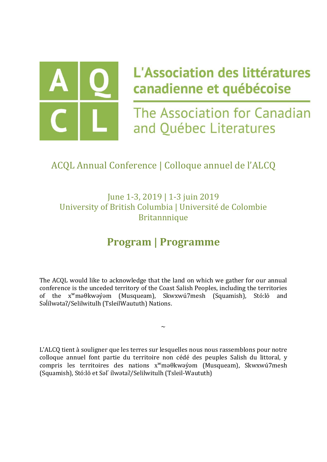

# L'Association des littératures canadienne et québécoise

The Association for Canadian and Québec Literatures

### ACQL Annual Conference | Colloque annuel de l'ALCQ

June 1-3, 2019 | 1-3 juin 2019 University of British Columbia | Université de Colombie **Britannnique** 

### **Program | Programme**

The ACQL would like to acknowledge that the land on which we gather for our annual conference is the unceded territory of the Coast Salish Peoples, including the territories of the xʷməθkwəy̓əm (Musqueam), Skwxwú7mesh (Squamish), Stó:lō and Səlílwəta?/Selilwitulh (TsleilWaututh) Nations.

 $\sim$ 

L'ALCQ tient à souligner que les terres sur lesquelles nous nous rassemblons pour notre colloque annuel font partie du territoire non cédé des peuples Salish du littoral, y compris les territoires des nations xʷməθkwəy̓əm (Musqueam), Skwxwú7mesh (Squamish), Stó:lō et Səl ̓ílwətaʔ/Selilwitulh (Tsleil-Waututh)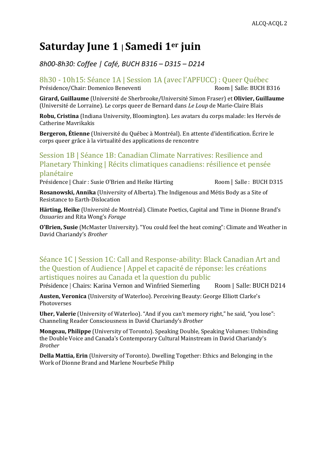### **Saturday June 1 | Samedi 1er juin**

*8h00-8h30: Coffee | Café, BUCH B316 – D315 – D214*

8h30 - 10h15: Séance 1A | Session 1A (avec l'APFUCC) : Queer Québec

Présidence/Chair: Domenico Beneventi Room | Salle: BUCH B316

**Girard, Guillaume** (Université de Sherbrooke/Université Simon Fraser) et **Olivier, Guillaume** (Université de Lorraine). Le corps queer de Bernard dans *Le Loup* de Marie-Claire Blais

**Robu, Cristina** (Indiana University, Bloomington). Les avatars du corps malade: les Hervés de Catherine Mavrikakis

**Bergeron, Étienne** (Université du Québec à Montréal). En attente d'identification. Écrire le corps queer grâce à la virtualité des applications de rencontre

### Session 1B | Séance 1B: Canadian Climate Narratives: Resilience and Planetary Thinking | Récits climatiques canadiens: résilience et pensée planétaire

Présidence | Chair : Susie O'Brien and Heike Härting Room | Salle : BUCH D315

**Rosanowski, Annika** (University of Alberta). The Indigenous and Métis Body as a Site of Resistance to Earth-Dislocation

**Härting, Heike** (Université de Montréal). Climate Poetics, Capital and Time in Dionne Brand's *Ossuaries* and Rita Wong's *Forage*

**O'Brien, Susie** (McMaster University). "You could feel the heat coming": Climate and Weather in David Chariandy's *Brother*

### Séance 1C | Session 1C: Call and Response-ability: Black Canadian Art and the Question of Audience | Appel et capacité de réponse: les créations artistiques noires au Canada et la question du public

Présidence | Chairs: Karina Vernon and Winfried Siemerling Room | Salle: BUCH D214

**Austen, Veronica** (University of Waterloo). Perceiving Beauty: George Elliott Clarke's Photoverses

**Uher, Valerie** (University of Waterloo). "And if you can't memory right," he said, "you lose": Channeling Reader Consciousness in David Chariandy's *Brother* 

**Mongeau, Philippe** (University of Toronto). Speaking Double, Speaking Volumes: Unbinding the Double Voice and Canada's Contemporary Cultural Mainstream in David Chariandy's *Brother*

**Della Mattia, Erin** (University of Toronto). Dwelling Together: Ethics and Belonging in the Work of Dionne Brand and Marlene NourbeSe Philip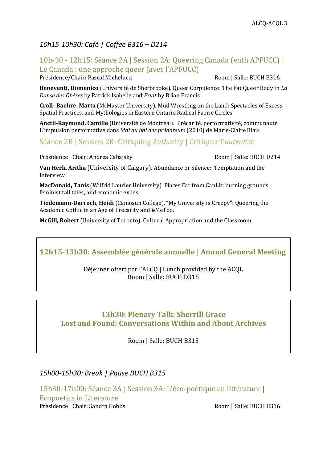### *10h15-10h30: Café | Coffee B316 – D214*

### 10h-30 - 12h15: Séance 2A | Session 2A: Queering Canada (with APFUCC) | Le Canada : une approche queer (avec l'APFUCC)

Présidence/Chair: Pascal Michelucci Room | Salle: BUCH B316

**Beneventi, Domenico** (Université de Sherbrooke). Queer Corpulence: The Fat Queer Body in *La Danse des Obèses* by Patrick Isabelle and *Fruit* by Brian Francis

**Croll- Baehre, Marta** (McMaster University). Mud Wrestling on the Land: Spectacles of Excess, Spatial Practices, and Mythologies in Eastern Ontario Radical Faerie Circles

**Anctil-Raymond, Camille** (Université de Montréal). Précarité, performativité, communauté. L'impulsion performative dans *Mai au bal des prédateurs* (2010) de Marie-Claire Blais

### Séance 2B | Session 2B: Critiquing *Author*ity | Critiquer l'*auteur*ité

Présidence | Chair: Andrea Cabajsky Room | Salle: BUCH D214

**Van Herk, Aritha** (University of Calgary). Abundance or Silence: Temptation and the Interview

**MacDonald, Tanis** (Wilfrid Laurier University). Places Far from CanLit: burning grounds, feminist tall tales, and economic exiles

**Tiedemann-Darroch, Heidi** (Camosun College). "My University is Creepy": Queering the Academic Gothic in an Age of Precarity and #MeToo.

**McGill, Robert** (University of Toronto). Cultural Appropriation and the Classroom

### **12h15-13h30: Assemblée générale annuelle | Annual General Meeting**

#### Déjeuner offert par l'ALCQ | Lunch provided by the ACQL Room | Salle: BUCH D315

### **13h30: Plenary Talk: Sherrill Grace Lost and Found: Conversations Within and About Archives**

Room | Salle: BUCH B315

### *15h00-15h30: Break | Pause BUCH B315*

15h30-17h00: Séance 3A | Session 3A: L'éco-poétique en littérature | Ecopoetics in Literature Présidence | Chair: Sandra Hobbs Room | Salle: BUCH B316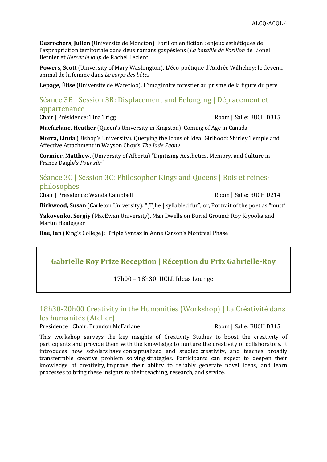**Desrochers, Julien** (Université de Moncton). Forillon en fiction : enjeux esthétiques de l'expropriation territoriale dans deux romans gaspésiens (*La bataille de Forillon* de Lionel Bernier et *Bercer le loup* de Rachel Leclerc)

**Powers, Scott** (University of Mary Washington). L'éco-poétique d'Audrée Wilhelmy: le deveniranimal de la femme dans *Le corps des bêtes*

**Lepage, Élise** (Université de Waterloo). L'imaginaire forestier au prisme de la figure du père

### Séance 3B | Session 3B: Displacement and Belonging | Déplacement et appartenance

Chair | Présidence: Tina Trigg  $\sim$  Room | Salle: BUCH D315

**Macfarlane, Heather** (Queen's University in Kingston). Coming of Age in Canada

**Morra, Linda** (Bishop's University). Querying the Icons of Ideal Girlhood: Shirley Temple and Affective Attachment in Wayson Choy's *The Jade Peony*

**Cormier, Matthew**. (University of Alberta) "Digitizing Aesthetics, Memory, and Culture in France Daigle's *Pour sûr*"

### Séance 3C | Session 3C: Philosopher Kings and Queens | Rois et reinesphilosophes

Chair | Présidence: Wanda Campbell Room | Salle: BUCH D214

**Birkwood, Susan** (Carleton University). "[T]he | syllabled fur"; or, Portrait of the poet as "mutt"

**Yakovenko, Sergiy** (MacEwan University). Man Dwells on Burial Ground: Roy Kiyooka and Martin Heidegger

**Rae, Ian** (King's College): Triple Syntax in Anne Carson's Montreal Phase

### **Gabrielle Roy Prize Reception | Réception du Prix Gabrielle-Roy**

17h00 – 18h30: UCLL Ideas Lounge

### 18h30-20h00 Creativity in the Humanities (Workshop) | La Créativité dans les humanités (Atelier)

#### Présidence | Chair: Brandon McFarlane Room | Salle: BUCH D315

This workshop surveys the key insights of Creativity Studies to boost the creativity of participants and provide them with the knowledge to nurture the creativity of collaborators. It introduces how scholars have conceptualized and studied creativity, and teaches broadly transferrable creative problem solving strategies. Participants can expect to deepen their knowledge of creativity, improve their ability to reliably generate novel ideas, and learn processes to bring these insights to their teaching, research, and service.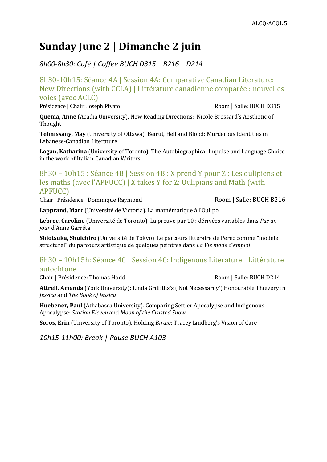### **Sunday June 2 | Dimanche 2 juin**

*8h00-8h30: Café | Coffee BUCH D315 – B216 – D214* 

8h30-10h15: Séance 4A | Session 4A: Comparative Canadian Literature: New Directions (with CCLA) | Littérature canadienne comparée : nouvelles voies (avec ACLC)

Présidence | Chair: Joseph Pivato Room | Salle: BUCH D315

**Quema, Anne** (Acadia University). New Reading Directions: Nicole Brossard's Aesthetic of Thought

**Telmissany, May** (University of Ottawa). Beirut, Hell and Blood: Murderous Identities in Lebanese-Canadian Literature

**Logan, Katharina** (University of Toronto). The Autobiographical Impulse and Language Choice in the work of Italian-Canadian Writers

### 8h30 – 10h15 : Séance 4B | Session 4B : X prend Y pour Z ; Les oulipiens et les maths (avec l'APFUCC) | X takes Y for Z: Oulipians and Math (with APFUCC)

Chair | Présidence: Dominique Raymond Room | Salle: BUCH B216

**Lapprand, Marc** (Université de Victoria). La mathématique à l'Oulipo

**Lebrec, Caroline** (Université de Toronto). La preuve par 10 : dérivées variables dans *Pas un jour* d'Anne Garréta

**Shiotsuka, Shuichiro** (Université de Tokyo). Le parcours littéraire de Perec comme "modèle structurel" du parcours artistique de quelques peintres dans *La Vie mode d'emploi*

### 8h30 – 10h15h: Séance 4C | Session 4C: Indigenous Literature | Littérature autochtone

Chair | Présidence: Thomas Hodd Room | Salle: BUCH D214

**Attrell, Amanda** (York University): Linda Griffiths's ('Not Necessarily') Honourable Thievery in *Jessica* and *The Book of Jessica*

**Huebener, Paul** (Athabasca University). Comparing Settler Apocalypse and Indigenous Apocalypse: *Station Eleven* and *Moon of the Crusted Snow*

**Soros, Erin** (University of Toronto). Holding *Birdie*: Tracey Lindberg's Vision of Care

*10h15-11h00: Break | Pause BUCH A103*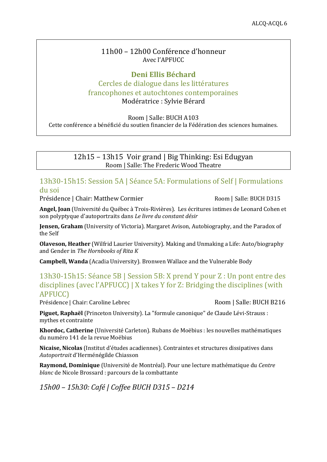#### 11h00 – 12h00 Conférence d'honneur Avec l'APFUCC

#### **Deni Ellis Béchard** Cercles de dialogue dans les littératures francophones et autochtones contemporaines Modératrice : Sylvie Bérard

Room | Salle: BUCH A103

Cette conférence a bénéficié du soutien financier de la Fédération des sciences humaines.

12h15 – 13h15 Voir grand | Big Thinking: Esi Edugyan Room | Salle: The Frederic Wood Theatre

### 13h30-15h15: Session 5A | Séance 5A: Formulations of Self | Formulations du soi

Présidence | Chair: Matthew Cormier Room | Salle: BUCH D315

**Angel, Joan** (Université du Québec à Trois-Rivières). Les écritures intimes de Leonard Cohen et son polyptyque d'autoportraits dans *Le livre du constant désir*

**Jensen, Graham** (University of Victoria). Margaret Avison, Autobiography, and the Paradox of the Self

**Olaveson, Heather** (Wilfrid Laurier University). Making and Unmaking a Life: Auto/biography and Gender in *The Hornbooks of Rita K*

**Campbell, Wanda** (Acadia University). Bronwen Wallace and the Vulnerable Body

### 13h30-15h15: Séance 5B | Session 5B: X prend Y pour Z : Un pont entre des disciplines (avec l'APFUCC) | X takes Y for Z: Bridging the disciplines (with APFUCC)

Présidence | Chair: Caroline Lebrec Room | Salle: BUCH B216

**Piguet, Raphaël** (Princeton University). La "formule canonique" de Claude Lévi-Strauss : mythes et contrainte

**Khordoc, Catherine** (Université Carleton). Rubans de Moëbius : les nouvelles mathématiques du numéro 141 de la revue Moëbius

**Nicaise, Nicolas** (Institut d'études acadiennes). Contraintes et structures dissipatives dans *Autoportrait* d'Herménégilde Chiasson

**Raymond, Dominique** (Université de Montréal). Pour une lecture mathématique du *Centre blanc* de Nicole Brossard : parcours de la combattante

*15h00 – 15h30: Café | Coffee BUCH D315 – D214*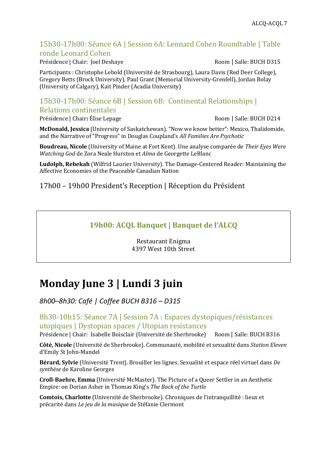### 15h30-17h00: Séance 6A | Session 6A: Leonard Cohen Roundtable | Table ronde Leonard Cohen

Présidence | Chair: Joel Deshaye **Room | Salle: BUCH D315** Room | Salle: BUCH D315

Participants : Christophe Lebold (Université de Strasbourg), Laura Davis (Red Deer College), Gregory Betts (Brock University), Paul Grant (Memorial University-Grenfell), Jordan Bolay (University of Calgary), Kait Pinder (Acadia University)

### 15h30-17h00: Séance 6B | Session 6B: Continental Relationships | Relations continentales

Présidence | Chair**:** Élise Lepage Room | Salle: BUCH D214

**McDonald, Jessica** (University of Saskatchewan). "Now we know better": Mexico, Thalidomide, and the Narrative of "Progress" in Douglas Coupland's *All Families Are Psychotic*

**Boudreau, Nicole** (University of Maine at Fort Kent). Une analyse comparée de *Their Eyes Were Watching God* de Zora Neale Hurston et *Alma* de Georgette LeBlanc

**Ludolph, Rebekah** (Wilfrid Laurier University). The Damage-Centered Reader: Maintaining the Affective Economies of the Peaceable Canadian Nation

17h00 – 19h00 President's Reception | Réception du Président

### **19h00: ACQL Banquet | Banquet de l'ALCQ**

Restaurant Enigma 4397 West 10th Street

## **Monday June 3 | Lundi 3 juin**

*8h00–8h30: Café | Coffee BUCH B316 – D315*

8h30-10h15: Séance 7A | Session 7A : Espaces dystopiques/résistances utopiques | Dystopian spaces / Utopian resistances

Présidence | Chair: Isabelle Boisclair (Université de Sherbrooke) Room | Salle: BUCH B316

**Côté, Nicole** (Université de Sherbrooke). Communauté, mobilité et sexualité dans *Station Eleven* d'Emily St John-Mandel

**Bérard, Sylvie** (Université Trent). Brouiller les lignes. Sexualité et espace réel virtuel dans *De synthèse* de Karoline Georges

**Croll-Baehre, Emma** (Université McMaster). The Picture of a Queer Settler in an Aesthetic Empire: on Dorian Asher in Thomas King's *The Back of the Turtle*

**Comtois, Charlotte** (Université de Sherbrooke). Chroniques de l'intranquillité : lieux et précarité dans *Le jeu de la musique* de Stéfanie Clermont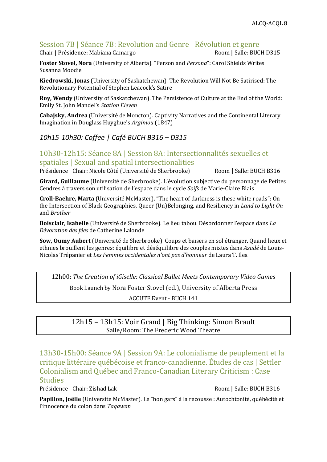### Session 7B | Séance 7B: Revolution and Genre | Révolution et genre

Chair | Présidence: Mabiana Camargo **Room | Room | Salle: BUCH D315** 

**Foster Stovel, Nora** (University of Alberta). "Person and *Persona*": Carol Shields Writes Susanna Moodie

**Kiedrowski, Jonas** (University of Saskatchewan). The Revolution Will Not Be Satirised: The Revolutionary Potential of Stephen Leacock's Satire

**Roy, Wendy** (University of Saskatchewan). The Persistence of Culture at the End of the World: Emily St. John Mandel's *Station Eleven*

**Cabajsky, Andrea** (Université de Moncton). Captivity Narratives and the Continental Literary Imagination in Douglass Huyghue's *Argimou* (1847)

### *10h15-10h30: Coffee | Café BUCH B316 – D315*

10h30-12h15: Séance 8A | Session 8A: Intersectionnalités sexuelles et spatiales | Sexual and spatial intersectionalities

Présidence | Chair: Nicole Côté (Université de Sherbrooke) Room | Salle: BUCH B316

**Girard, Guillaume** (Université de Sherbrooke). L'évolution subjective du personnage de Petites Cendres à travers son utilisation de l'espace dans le cycle *Soifs* de Marie-Claire Blais

**Croll-Baehre, Marta** (Université McMaster). "The heart of darkness is these white roads": On the Intersection of Black Geographies, Queer (Un)Belonging, and Resiliency in *Land to Light On* and *Brother*

**Boisclair, Isabelle** (Université de Sherbrooke). Le lieu tabou. Désordonner l'espace dans *La Dévoration des fées* de Catherine Lalonde

**Sow, Oumy Aubert** (Université de Sherbrooke). Coups et baisers en sol étranger. Quand lieux et ethnies brouillent les genres: équilibre et déséquilibre des couples mixtes dans *Azadé* de Louis-Nicolas Trépanier et *Les Femmes occidentales n'ont pas d'honneur* de Laura T. Ilea

12h00: *The Creation of iGiselle: Classical Ballet Meets Contemporary Video Games*

Book Launch by Nora Foster Stovel (ed.), University of Alberta Press

ACCUTE Event - BUCH 141

12h15 – 13h15: Voir Grand | Big Thinking: Simon Brault Salle/Room: The Frederic Wood Theatre

13h30-15h00: Séance 9A | Session 9A: Le colonialisme de peuplement et la critique littéraire québécoise et franco-canadienne. Études de cas | Settler Colonialism and Québec and Franco-Canadian Literary Criticism : Case Studies

Présidence | Chair: Zishad Lak Room | Salle: BUCH B316

**Papillon, Joëlle** (Université McMaster). Le "bon gars" à la recousse : Autochtonité, québécité et l'innocence du colon dans *Taqawan*